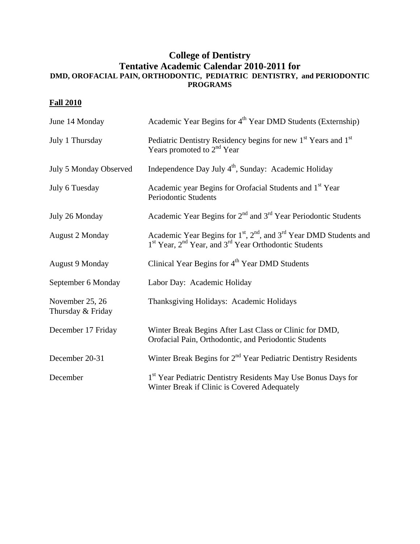## **College of Dentistry Tentative Academic Calendar 2010-2011 for DMD, OROFACIAL PAIN, ORTHODONTIC, PEDIATRIC DENTISTRY, and PERIODONTIC PROGRAMS**

## **Fall 2010**

| June 14 Monday                       | Academic Year Begins for 4 <sup>th</sup> Year DMD Students (Externship)                                                                                                                             |
|--------------------------------------|-----------------------------------------------------------------------------------------------------------------------------------------------------------------------------------------------------|
| July 1 Thursday                      | Pediatric Dentistry Residency begins for new $1st$ Years and $1st$<br>Years promoted to $2nd$ Year                                                                                                  |
| July 5 Monday Observed               | Independence Day July 4 <sup>th</sup> , Sunday: Academic Holiday                                                                                                                                    |
| July 6 Tuesday                       | Academic year Begins for Orofacial Students and 1 <sup>st</sup> Year<br>Periodontic Students                                                                                                        |
| July 26 Monday                       | Academic Year Begins for $2nd$ and $3rd$ Year Periodontic Students                                                                                                                                  |
| <b>August 2 Monday</b>               | Academic Year Begins for 1 <sup>st</sup> , 2 <sup>nd</sup> , and 3 <sup>rd</sup> Year DMD Students and<br>1 <sup>st</sup> Year, 2 <sup>nd</sup> Year, and 3 <sup>rd</sup> Year Orthodontic Students |
| <b>August 9 Monday</b>               | Clinical Year Begins for $4th$ Year DMD Students                                                                                                                                                    |
| September 6 Monday                   | Labor Day: Academic Holiday                                                                                                                                                                         |
| November 25, 26<br>Thursday & Friday | Thanksgiving Holidays: Academic Holidays                                                                                                                                                            |
| December 17 Friday                   | Winter Break Begins After Last Class or Clinic for DMD,<br>Orofacial Pain, Orthodontic, and Periodontic Students                                                                                    |
| December 20-31                       | Winter Break Begins for 2 <sup>nd</sup> Year Pediatric Dentistry Residents                                                                                                                          |
| December                             | 1 <sup>st</sup> Year Pediatric Dentistry Residents May Use Bonus Days for<br>Winter Break if Clinic is Covered Adequately                                                                           |